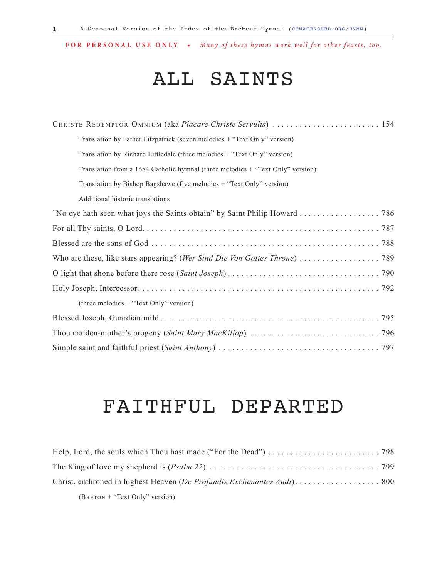### ALL SAINTS

| CHRISTE REDEMPTOR OMNIUM (aka Placare Christe Servulis)  154                   |
|--------------------------------------------------------------------------------|
| Translation by Father Fitzpatrick (seven melodies + "Text Only" version)       |
| Translation by Richard Littledale (three melodies + "Text Only" version)       |
| Translation from a 1684 Catholic hymnal (three melodies + "Text Only" version) |
| Translation by Bishop Bagshawe (five melodies + "Text Only" version)           |
| Additional historic translations                                               |
|                                                                                |
|                                                                                |
|                                                                                |
|                                                                                |
|                                                                                |
|                                                                                |
| (three melodies + "Text Only" version)                                         |
|                                                                                |
|                                                                                |
|                                                                                |

### FAITHFUL DEPARTED

| $(B$ RETON + "Text Only" version) |  |
|-----------------------------------|--|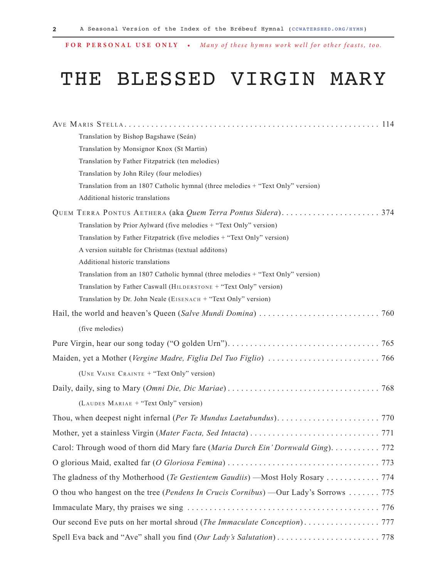## THE BLESSED VIRGIN MARY

| Translation by Bishop Bagshawe (Seán)                                                |
|--------------------------------------------------------------------------------------|
| Translation by Monsignor Knox (St Martin)                                            |
| Translation by Father Fitzpatrick (ten melodies)                                     |
| Translation by John Riley (four melodies)                                            |
| Translation from an 1807 Catholic hymnal (three melodies + "Text Only" version)      |
| Additional historic translations                                                     |
| QUEM TERRA PONTUS AETHERA (aka Quem Terra Pontus Sidera)<br>374                      |
| Translation by Prior Aylward (five melodies + "Text Only" version)                   |
| Translation by Father Fitzpatrick (five melodies + "Text Only" version)              |
| A version suitable for Christmas (textual additons)                                  |
| Additional historic translations                                                     |
| Translation from an 1807 Catholic hymnal (three melodies + "Text Only" version)      |
| Translation by Father Caswall (HILDERSTONE + "Text Only" version)                    |
| Translation by Dr. John Neale (EISENACH + "Text Only" version)                       |
|                                                                                      |
| (five melodies)                                                                      |
|                                                                                      |
|                                                                                      |
| (UNE VAINE CRAINTE + "Text Only" version)                                            |
|                                                                                      |
| (LAUDES MARIAE + "Text Only" version)                                                |
|                                                                                      |
|                                                                                      |
| Carol: Through wood of thorn did Mary fare (Maria Durch Ein' Dornwald Ging). 772     |
|                                                                                      |
|                                                                                      |
| O thou who hangest on the tree (Pendens In Crucis Cornibus) —Our Lady's Sorrows  775 |
|                                                                                      |
|                                                                                      |
|                                                                                      |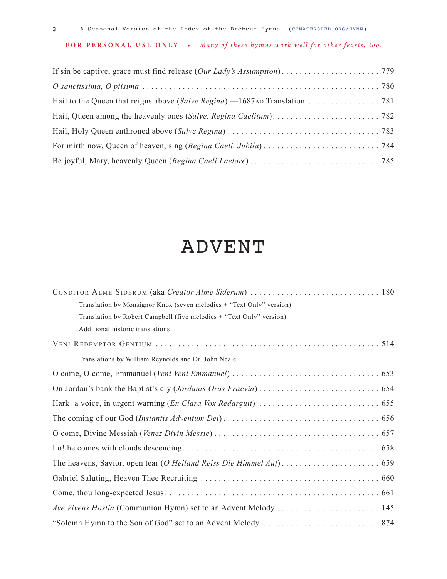#### ADVENT

| Translation by Monsignor Knox (seven melodies + "Text Only" version) |
|----------------------------------------------------------------------|
| Translation by Robert Campbell (five melodies + "Text Only" version) |
| Additional historic translations                                     |
|                                                                      |
| Translations by William Reynolds and Dr. John Neale                  |
|                                                                      |
|                                                                      |
|                                                                      |
|                                                                      |
|                                                                      |
|                                                                      |
|                                                                      |
|                                                                      |
|                                                                      |
|                                                                      |
|                                                                      |

**3**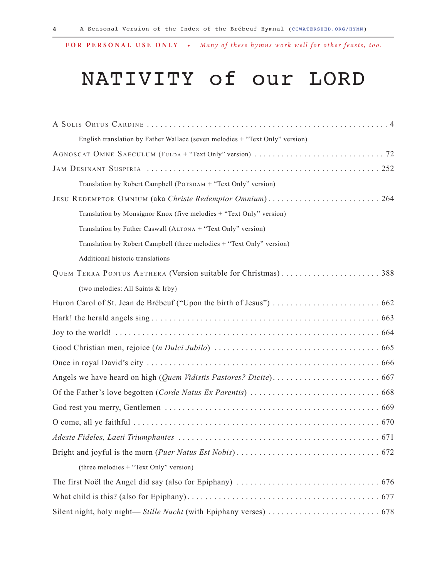## NATIVITY of our LORD

| English translation by Father Wallace (seven melodies + "Text Only" version) |
|------------------------------------------------------------------------------|
|                                                                              |
|                                                                              |
| Translation by Robert Campbell (POTSDAM + "Text Only" version)               |
| JESU REDEMPTOR OMNIUM (aka Christe Redemptor Omnium) 264                     |
| Translation by Monsignor Knox (five melodies + "Text Only" version)          |
| Translation by Father Caswall (ALTONA + "Text Only" version)                 |
| Translation by Robert Campbell (three melodies + "Text Only" version)        |
| Additional historic translations                                             |
| QUEM TERRA PONTUS AETHERA (Version suitable for Christmas)388                |
| (two melodies: All Saints & Irby)                                            |
|                                                                              |
|                                                                              |
|                                                                              |
|                                                                              |
|                                                                              |
|                                                                              |
|                                                                              |
|                                                                              |
|                                                                              |
|                                                                              |
|                                                                              |
| (three melodies + "Text Only" version)                                       |
|                                                                              |
|                                                                              |
|                                                                              |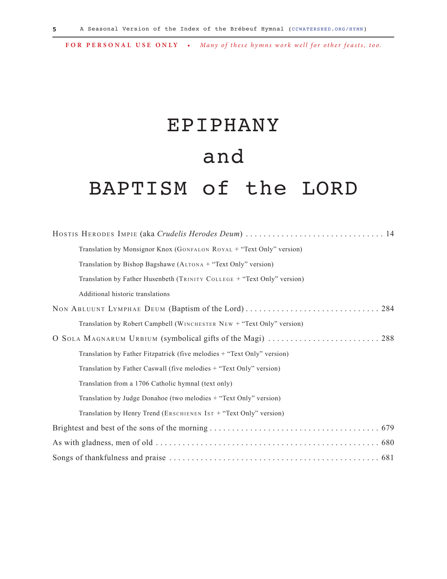# EPIPHANY and BAPTISM of the LORD

| HOSTIS HERODES IMPIE (aka Crudelis Herodes Deum)  14                    |
|-------------------------------------------------------------------------|
| Translation by Monsignor Knox (GONFALON ROYAL + "Text Only" version)    |
| Translation by Bishop Bagshawe (ALTONA + "Text Only" version)           |
| Translation by Father Husenbeth (TRINITY COLLEGE + "Text Only" version) |
| Additional historic translations                                        |
|                                                                         |
| Translation by Robert Campbell (WINCHESTER NEW + "Text Only" version)   |
| O SOLA MAGNARUM URBIUM (symbolical gifts of the Magi)  288              |
| Translation by Father Fitzpatrick (five melodies + "Text Only" version) |
| Translation by Father Caswall (five melodies + "Text Only" version)     |
| Translation from a 1706 Catholic hymnal (text only)                     |
| Translation by Judge Donahoe (two melodies + "Text Only" version)       |
| Translation by Henry Trend (ERSCHIENEN IST + "Text Only" version)       |
|                                                                         |
|                                                                         |
|                                                                         |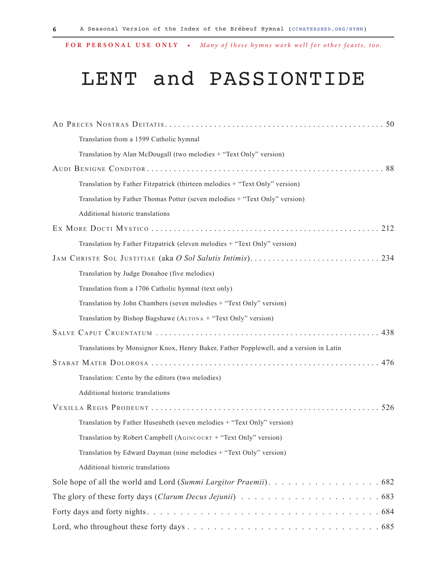## LENT and PASSIONTIDE

| Translation from a 1599 Catholic hymnal                                                |
|----------------------------------------------------------------------------------------|
| Translation by Alan McDougall (two melodies + "Text Only" version)                     |
|                                                                                        |
| Translation by Father Fitzpatrick (thirteen melodies + "Text Only" version)            |
| Translation by Father Thomas Potter (seven melodies + "Text Only" version)             |
| Additional historic translations                                                       |
| 212                                                                                    |
| Translation by Father Fitzpatrick (eleven melodies + "Text Only" version)              |
| JAM CHRISTE SOL JUSTITIAE (aka O Sol Salutis Intimis)<br>234                           |
| Translation by Judge Donahoe (five melodies)                                           |
| Translation from a 1706 Catholic hymnal (text only)                                    |
| Translation by John Chambers (seven melodies + "Text Only" version)                    |
| Translation by Bishop Bagshawe (ALTONA + "Text Only" version)                          |
| 438                                                                                    |
| Translations by Monsignor Knox, Henry Baker, Father Popplewell, and a version in Latin |
|                                                                                        |
| Translation: Cento by the editors (two melodies)                                       |
| Additional historic translations                                                       |
| 526                                                                                    |
| Translation by Father Husenbeth (seven melodies + "Text Only" version)                 |
| Translation by Robert Campbell (AGINCOURT + "Text Only" version)                       |
| Translation by Edward Dayman (nine melodies + "Text Only" version)                     |
| Additional historic translations                                                       |
|                                                                                        |
|                                                                                        |
|                                                                                        |
|                                                                                        |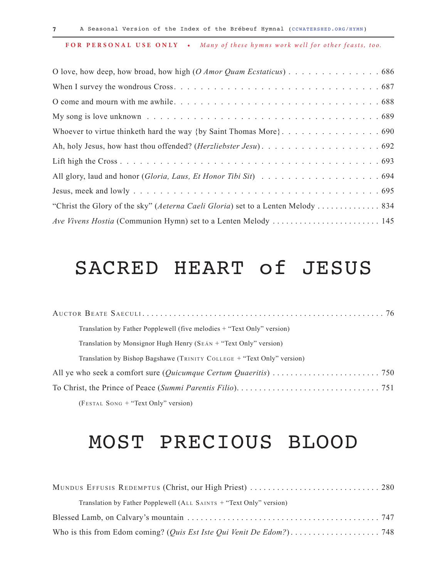| O love, how deep, how broad, how high (O Amor Quam Ecstaticus) 686              |  |
|---------------------------------------------------------------------------------|--|
|                                                                                 |  |
|                                                                                 |  |
|                                                                                 |  |
| Whoever to virtue thinketh hard the way {by Saint Thomas More}. 690             |  |
|                                                                                 |  |
|                                                                                 |  |
|                                                                                 |  |
|                                                                                 |  |
| "Christ the Glory of the sky" (Aeterna Caeli Gloria) set to a Lenten Melody 834 |  |
| Ave Vivens Hostia (Communion Hymn) set to a Lenten Melody  145                  |  |

### SACRED HEART of JESUS

| Translation by Father Popplewell (five melodies + "Text Only" version) |
|------------------------------------------------------------------------|
| Translation by Monsignor Hugh Henry ( $S_{EAN}$ + "Text Only" version) |
| Translation by Bishop Bagshawe (TRINITY COLLEGE + "Text Only" version) |
|                                                                        |
|                                                                        |
| (FESTAL SONG + "Text Only" version)                                    |

#### MOST PRECIOUS BLOOD

| MUNDUS EFFUSIS REDEMPTUS (Christ, our High Priest)  280             |  |
|---------------------------------------------------------------------|--|
| Translation by Father Popplewell (ALL SAINTS + "Text Only" version) |  |
|                                                                     |  |
|                                                                     |  |

**7**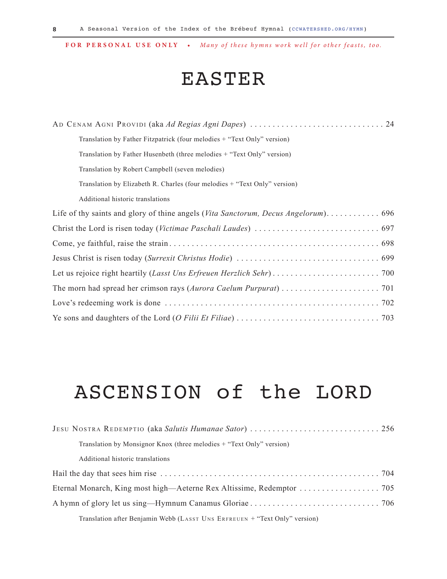**8**

**FOR PERSONAL USE ONLY •** *Many of these hymns work well for other feasts, too.*

#### EASTER

| Translation by Father Fitzpatrick (four melodies + "Text Only" version)   |
|---------------------------------------------------------------------------|
| Translation by Father Husenbeth (three melodies + "Text Only" version)    |
| Translation by Robert Campbell (seven melodies)                           |
| Translation by Elizabeth R. Charles (four melodies + "Text Only" version) |
| Additional historic translations                                          |
|                                                                           |
|                                                                           |
|                                                                           |
|                                                                           |
|                                                                           |
|                                                                           |
|                                                                           |
|                                                                           |

## ASCENSION of the LORD

| Translation by Monsignor Knox (three melodies + "Text Only" version)       |  |
|----------------------------------------------------------------------------|--|
| Additional historic translations                                           |  |
|                                                                            |  |
| Eternal Monarch, King most high—Aeterne Rex Altissime, Redemptor 705       |  |
|                                                                            |  |
| Translation after Benjamin Webb (LASST UNS ERFREUEN + "Text Only" version) |  |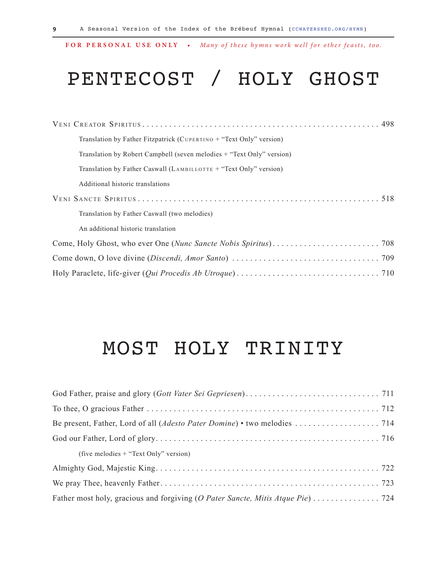## PENTECOST / HOLY GHOST

| Translation by Father Fitzpatrick (CUPERTINO + "Text Only" version)   |
|-----------------------------------------------------------------------|
| Translation by Robert Campbell (seven melodies + "Text Only" version) |
| Translation by Father Caswall (LAMBILLOTTE $+$ "Text Only" version)   |
| Additional historic translations                                      |
|                                                                       |
| Translation by Father Caswall (two melodies)                          |
| An additional historic translation                                    |
|                                                                       |
|                                                                       |
|                                                                       |

#### MOST HOLY TRINITY

| (five melodies $+$ "Text Only" version)                                        |  |
|--------------------------------------------------------------------------------|--|
|                                                                                |  |
|                                                                                |  |
| Father most holy, gracious and forgiving (O Pater Sancte, Mitis Atque Pie) 724 |  |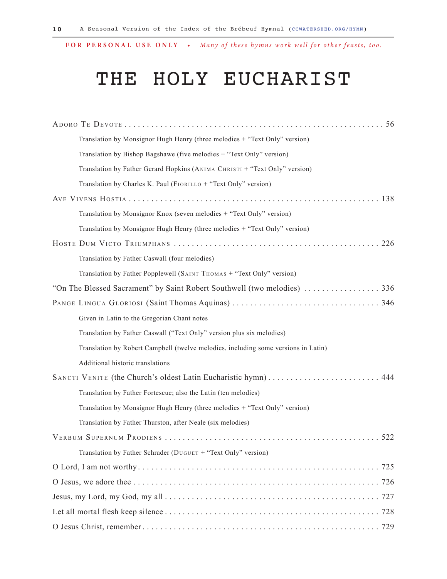## THE HOLY EUCHARIST

| 56                                                                                 |
|------------------------------------------------------------------------------------|
| Translation by Monsignor Hugh Henry (three melodies + "Text Only" version)         |
| Translation by Bishop Bagshawe (five melodies + "Text Only" version)               |
| Translation by Father Gerard Hopkins (ANIMA CHRISTI + "Text Only" version)         |
| Translation by Charles K. Paul (FIORILLO + "Text Only" version)                    |
|                                                                                    |
| Translation by Monsignor Knox (seven melodies + "Text Only" version)               |
| Translation by Monsignor Hugh Henry (three melodies + "Text Only" version)         |
|                                                                                    |
| Translation by Father Caswall (four melodies)                                      |
| Translation by Father Popplewell (SAINT THOMAS + "Text Only" version)              |
|                                                                                    |
|                                                                                    |
| Given in Latin to the Gregorian Chant notes                                        |
| Translation by Father Caswall ("Text Only" version plus six melodies)              |
| Translation by Robert Campbell (twelve melodies, including some versions in Latin) |
| Additional historic translations                                                   |
| SANCTI VENITE (the Church's oldest Latin Eucharistic hymn)  444                    |
| Translation by Father Fortescue; also the Latin (ten melodies)                     |
| Translation by Monsignor Hugh Henry (three melodies + "Text Only" version)         |
| Translation by Father Thurston, after Neale (six melodies)                         |
| 522                                                                                |
| Translation by Father Schrader (DUGUET + "Text Only" version)                      |
|                                                                                    |
|                                                                                    |
|                                                                                    |
|                                                                                    |
|                                                                                    |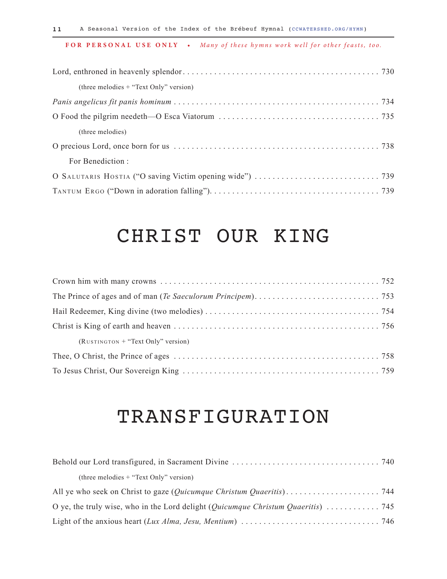| (three melodies $+$ "Text Only" version) |  |
|------------------------------------------|--|
|                                          |  |
|                                          |  |
| (three melodies)                         |  |
|                                          |  |
| For Benediction:                         |  |
|                                          |  |
|                                          |  |

### CHRIST OUR KING

| $(RUSTINGTON + "Text Only" version)$ |  |
|--------------------------------------|--|
|                                      |  |
|                                      |  |

### TRANSFIGURATION

| (three melodies $+$ "Text Only" version)                                                                                         |  |
|----------------------------------------------------------------------------------------------------------------------------------|--|
|                                                                                                                                  |  |
| O ye, the truly wise, who in the Lord delight ( <i>Quicumque Christum Quaeritis</i> ) 745                                        |  |
| Light of the anxious heart (Lux Alma, Jesu, Mentium) $\ldots \ldots \ldots \ldots \ldots \ldots \ldots \ldots \ldots \ldots$ 746 |  |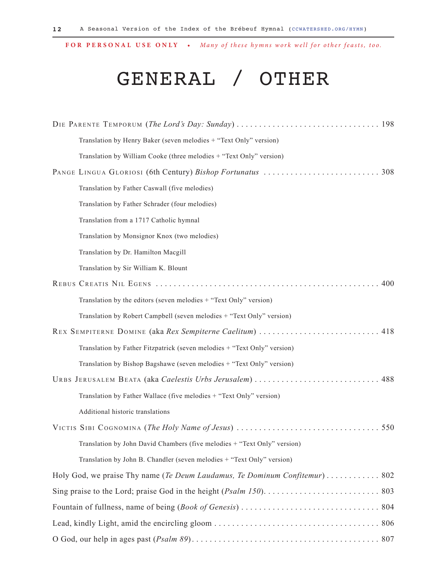## GENERAL / OTHER

| Translation by Henry Baker (seven melodies + "Text Only" version)        |
|--------------------------------------------------------------------------|
| Translation by William Cooke (three melodies + "Text Only" version)      |
|                                                                          |
| Translation by Father Caswall (five melodies)                            |
| Translation by Father Schrader (four melodies)                           |
| Translation from a 1717 Catholic hymnal                                  |
| Translation by Monsignor Knox (two melodies)                             |
| Translation by Dr. Hamilton Macgill                                      |
| Translation by Sir William K. Blount                                     |
| 400                                                                      |
| Translation by the editors (seven melodies + "Text Only" version)        |
| Translation by Robert Campbell (seven melodies + "Text Only" version)    |
| REX SEMPITERNE DOMINE (aka Rex Sempiterne Caelitum)  418                 |
| Translation by Father Fitzpatrick (seven melodies + "Text Only" version) |
| Translation by Bishop Bagshawe (seven melodies + "Text Only" version)    |
| URBS JERUSALEM BEATA (aka Caelestis Urbs Jerusalem)  488                 |
| Translation by Father Wallace (five melodies + "Text Only" version)      |
| Additional historic translations                                         |
|                                                                          |
| Translation by John David Chambers (five melodies + "Text Only" version) |
| Translation by John B. Chandler (seven melodies + "Text Only" version)   |
|                                                                          |
|                                                                          |
|                                                                          |
|                                                                          |
|                                                                          |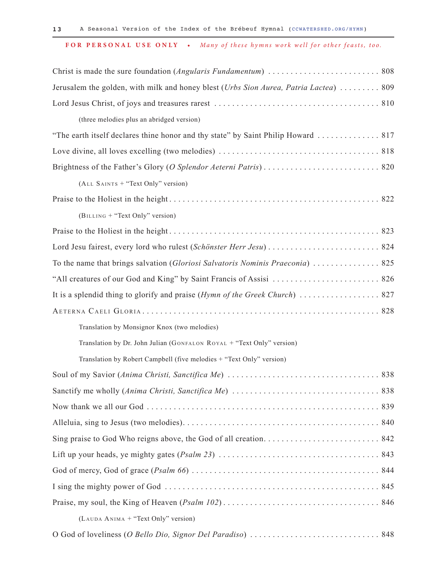| Jerusalem the golden, with milk and honey blest (Urbs Sion Aurea, Patria Lactea)  809 |  |
|---------------------------------------------------------------------------------------|--|
|                                                                                       |  |
| (three melodies plus an abridged version)                                             |  |
| "The earth itself declares thine honor and thy state" by Saint Philip Howard  817     |  |
|                                                                                       |  |
|                                                                                       |  |
| (ALL SAINTS + "Text Only" version)                                                    |  |
|                                                                                       |  |
| (BILLING + "Text Only" version)                                                       |  |
|                                                                                       |  |
|                                                                                       |  |
| To the name that brings salvation (Gloriosi Salvatoris Nominis Praeconia)  825        |  |
|                                                                                       |  |
| It is a splendid thing to glorify and praise (Hymn of the Greek Church)  827          |  |
|                                                                                       |  |
| Translation by Monsignor Knox (two melodies)                                          |  |
| Translation by Dr. John Julian (GONFALON ROYAL + "Text Only" version)                 |  |
| Translation by Robert Campbell (five melodies + "Text Only" version)                  |  |
|                                                                                       |  |
|                                                                                       |  |
|                                                                                       |  |
|                                                                                       |  |
|                                                                                       |  |
|                                                                                       |  |
|                                                                                       |  |
|                                                                                       |  |
|                                                                                       |  |
| (LAUDA ANIMA + "Text Only" version)                                                   |  |
|                                                                                       |  |